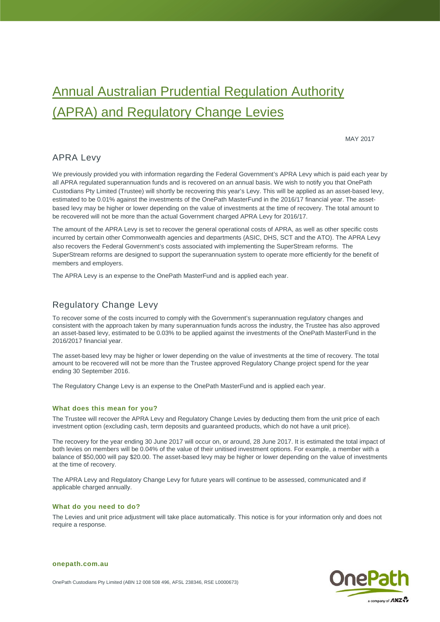# Annual Australian Prudential Regulation Authority (APRA) and Regulatory Change Levies

MAY 2017

## APRA Levy

We previously provided you with information regarding the Federal Government's APRA Levy which is paid each year by all APRA regulated superannuation funds and is recovered on an annual basis. We wish to notify you that OnePath Custodians Pty Limited (Trustee) will shortly be recovering this year's Levy. This will be applied as an asset-based levy, estimated to be 0.01% against the investments of the OnePath MasterFund in the 2016/17 financial year. The assetbased levy may be higher or lower depending on the value of investments at the time of recovery. The total amount to be recovered will not be more than the actual Government charged APRA Levy for 2016/17.

The amount of the APRA Levy is set to recover the general operational costs of APRA, as well as other specific costs incurred by certain other Commonwealth agencies and departments (ASIC, DHS, SCT and the ATO). The APRA Levy also recovers the Federal Government's costs associated with implementing the SuperStream reforms. The SuperStream reforms are designed to support the superannuation system to operate more efficiently for the benefit of members and employers.

The APRA Levy is an expense to the OnePath MasterFund and is applied each year.

## Regulatory Change Levy

To recover some of the costs incurred to comply with the Government's superannuation regulatory changes and consistent with the approach taken by many superannuation funds across the industry, the Trustee has also approved an asset-based levy, estimated to be 0.03% to be applied against the investments of the OnePath MasterFund in the 2016/2017 financial year.

The asset-based levy may be higher or lower depending on the value of investments at the time of recovery. The total amount to be recovered will not be more than the Trustee approved Regulatory Change project spend for the year ending 30 September 2016.

The Regulatory Change Levy is an expense to the OnePath MasterFund and is applied each year.

#### **What does this mean for you?**

The Trustee will recover the APRA Levy and Regulatory Change Levies by deducting them from the unit price of each investment option (excluding cash, term deposits and guaranteed products, which do not have a unit price).

The recovery for the year ending 30 June 2017 will occur on, or around, 28 June 2017. It is estimated the total impact of both levies on members will be 0.04% of the value of their unitised investment options. For example, a member with a balance of \$50,000 will pay \$20.00. The asset-based levy may be higher or lower depending on the value of investments at the time of recovery.

The APRA Levy and Regulatory Change Levy for future years will continue to be assessed, communicated and if applicable charged annually.

#### **What do you need to do?**

The Levies and unit price adjustment will take place automatically. This notice is for your information only and does not require a response.



**onepath.com.au**

OnePath Custodians Pty Limited (ABN 12 008 508 496, AFSL 238346, RSE L0000673)